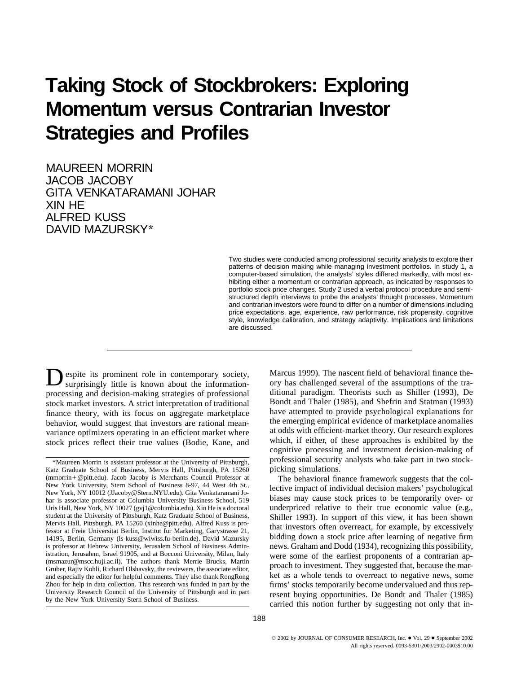# **Taking Stock of Stockbrokers: Exploring Momentum versus Contrarian Investor Strategies and Profiles**

MAUREEN MORRIN JACOB JACOBY GITA VENKATARAMANI JOHAR XIN HE ALFRED KUSS DAVID MAZURSKY\*

> Two studies were conducted among professional security analysts to explore their patterns of decision making while managing investment portfolios. In study 1, a computer-based simulation, the analysts' styles differed markedly, with most exhibiting either a momentum or contrarian approach, as indicated by responses to portfolio stock price changes. Study 2 used a verbal protocol procedure and semistructured depth interviews to probe the analysts' thought processes. Momentum and contrarian investors were found to differ on a number of dimensions including price expectations, age, experience, raw performance, risk propensity, cognitive style, knowledge calibration, and strategy adaptivity. Implications and limitations are discussed.

espite its prominent role in contemporary society, surprisingly little is known about the informationprocessing and decision-making strategies of professional stock market investors. A strict interpretation of traditional finance theory, with its focus on aggregate marketplace behavior, would suggest that investors are rational meanvariance optimizers operating in an efficient market where stock prices reflect their true values (Bodie, Kane, and Marcus 1999). The nascent field of behavioral finance theory has challenged several of the assumptions of the traditional paradigm. Theorists such as Shiller (1993), De Bondt and Thaler (1985), and Shefrin and Statman (1993) have attempted to provide psychological explanations for the emerging empirical evidence of marketplace anomalies at odds with efficient-market theory. Our research explores which, if either, of these approaches is exhibited by the cognitive processing and investment decision-making of professional security analysts who take part in two stockpicking simulations.

The behavioral finance framework suggests that the collective impact of individual decision makers' psychological biases may cause stock prices to be temporarily over- or underpriced relative to their true economic value (e.g., Shiller 1993). In support of this view, it has been shown that investors often overreact, for example, by excessively bidding down a stock price after learning of negative firm news. Graham and Dodd (1934), recognizing this possibility, were some of the earliest proponents of a contrarian approach to investment. They suggested that, because the market as a whole tends to overreact to negative news, some firms' stocks temporarily become undervalued and thus represent buying opportunities. De Bondt and Thaler (1985) carried this notion further by suggesting not only that in-

<sup>\*</sup>Maureen Morrin is assistant professor at the University of Pittsburgh, Katz Graduate School of Business, Mervis Hall, Pittsburgh, PA 15260 (mmorrin+@pitt.edu). Jacob Jacoby is Merchants Council Professor at New York University, Stern School of Business 8-97, 44 West 4th St., New York, NY 10012 (JJacoby@Stern.NYU.edu). Gita Venkataramani Johar is associate professor at Columbia University Business School, 519 Uris Hall, New York, NY 10027 (gvj1@columbia.edu). Xin He is a doctoral student at the University of Pittsburgh, Katz Graduate School of Business, Mervis Hall, Pittsburgh, PA 15260 (xinhe@pitt.edu). Alfred Kuss is professor at Freie Universitat Berlin, Institut fur Marketing, Garystrasse 21, 14195, Berlin, Germany (ls-kuss@wiwiss.fu-berlin.de). David Mazursky is professor at Hebrew University, Jerusalem School of Business Administration, Jerusalem, Israel 91905, and at Bocconi University, Milan, Italy (msmazur@mscc.huji.ac.il). The authors thank Merrie Brucks, Martin Gruber, Rajiv Kohli, Richard Olshavsky, the reviewers, the associate editor, and especially the editor for helpful comments. They also thank RongRong Zhou for help in data collection. This research was funded in part by the University Research Council of the University of Pittsburgh and in part by the New York University Stern School of Business.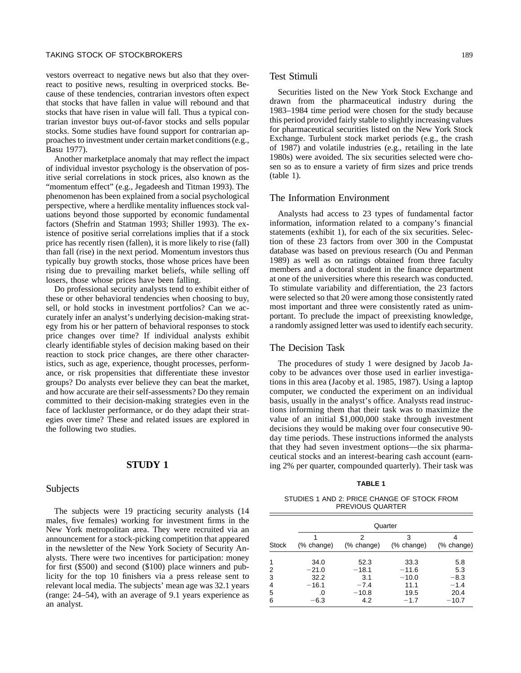vestors overreact to negative news but also that they overreact to positive news, resulting in overpriced stocks. Because of these tendencies, contrarian investors often expect that stocks that have fallen in value will rebound and that stocks that have risen in value will fall. Thus a typical contrarian investor buys out-of-favor stocks and sells popular stocks. Some studies have found support for contrarian approaches to investment under certain market conditions (e.g., Basu 1977).

Another marketplace anomaly that may reflect the impact of individual investor psychology is the observation of positive serial correlations in stock prices, also known as the "momentum effect" (e.g., Jegadeesh and Titman 1993). The phenomenon has been explained from a social psychological perspective, where a herdlike mentality influences stock valuations beyond those supported by economic fundamental factors (Shefrin and Statman 1993; Shiller 1993). The existence of positive serial correlations implies that if a stock price has recently risen (fallen), it is more likely to rise (fall) than fall (rise) in the next period. Momentum investors thus typically buy growth stocks, those whose prices have been rising due to prevailing market beliefs, while selling off losers, those whose prices have been falling.

Do professional security analysts tend to exhibit either of these or other behavioral tendencies when choosing to buy, sell, or hold stocks in investment portfolios? Can we accurately infer an analyst's underlying decision-making strategy from his or her pattern of behavioral responses to stock price changes over time? If individual analysts exhibit clearly identifiable styles of decision making based on their reaction to stock price changes, are there other characteristics, such as age, experience, thought processes, performance, or risk propensities that differentiate these investor groups? Do analysts ever believe they can beat the market, and how accurate are their self-assessments? Do they remain committed to their decision-making strategies even in the face of lackluster performance, or do they adapt their strategies over time? These and related issues are explored in the following two studies.

# **STUDY 1**

#### Subjects

The subjects were 19 practicing security analysts (14 males, five females) working for investment firms in the New York metropolitan area. They were recruited via an announcement for a stock-picking competition that appeared in the newsletter of the New York Society of Security Analysts. There were two incentives for participation: money for first (\$500) and second (\$100) place winners and publicity for the top 10 finishers via a press release sent to relevant local media. The subjects' mean age was 32.1 years (range: 24–54), with an average of 9.1 years experience as an analyst.

# Test Stimuli

Securities listed on the New York Stock Exchange and drawn from the pharmaceutical industry during the 1983–1984 time period were chosen for the study because this period provided fairly stable to slightly increasing values for pharmaceutical securities listed on the New York Stock Exchange. Turbulent stock market periods (e.g., the crash of 1987) and volatile industries (e.g., retailing in the late 1980s) were avoided. The six securities selected were chosen so as to ensure a variety of firm sizes and price trends (table 1).

# The Information Environment

Analysts had access to 23 types of fundamental factor information, information related to a company's financial statements (exhibit 1), for each of the six securities. Selection of these 23 factors from over 300 in the Compustat database was based on previous research (Ou and Penman 1989) as well as on ratings obtained from three faculty members and a doctoral student in the finance department at one of the universities where this research was conducted. To stimulate variability and differentiation, the 23 factors were selected so that 20 were among those consistently rated most important and three were consistently rated as unimportant. To preclude the impact of preexisting knowledge, a randomly assigned letter was used to identify each security.

# The Decision Task

The procedures of study 1 were designed by Jacob Jacoby to be advances over those used in earlier investigations in this area (Jacoby et al. 1985, 1987). Using a laptop computer, we conducted the experiment on an individual basis, usually in the analyst's office. Analysts read instructions informing them that their task was to maximize the value of an initial \$1,000,000 stake through investment decisions they would be making over four consecutive 90 day time periods. These instructions informed the analysts that they had seven investment options—the six pharmaceutical stocks and an interest-bearing cash account (earning 2% per quarter, compounded quarterly). Their task was

#### **TABLE 1**

STUDIES 1 AND 2: PRICE CHANGE OF STOCK FROM PREVIOUS QUARTER

| <b>Stock</b>          | Quarter                                            |                                                    |                                                      |                                                   |
|-----------------------|----------------------------------------------------|----------------------------------------------------|------------------------------------------------------|---------------------------------------------------|
|                       | (% change)                                         | 2<br>(% change)                                    | 3<br>(% change)                                      | (% change)                                        |
| 2<br>3<br>4<br>5<br>6 | 34.0<br>$-21.0$<br>32.2<br>$-16.1$<br>.0<br>$-6.3$ | 52.3<br>$-18.1$<br>3.1<br>$-7.4$<br>$-10.8$<br>4.2 | 33.3<br>$-11.6$<br>$-10.0$<br>11.1<br>19.5<br>$-1.7$ | 5.8<br>5.3<br>$-8.3$<br>$-1.4$<br>20.4<br>$-10.7$ |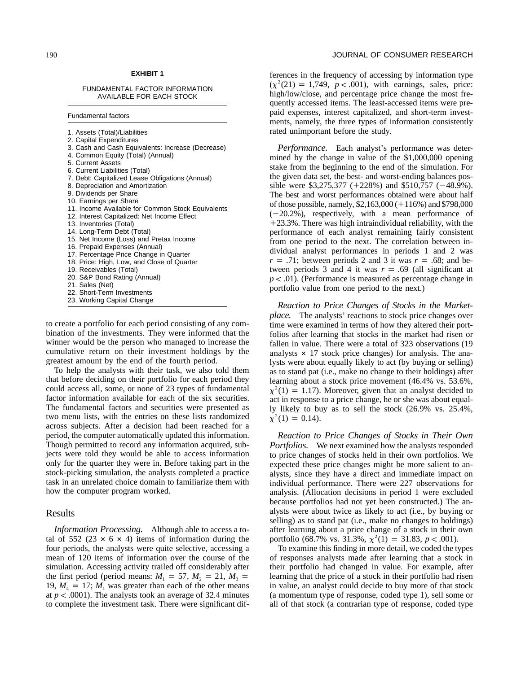# **EXHIBIT 1**

#### FUNDAMENTAL FACTOR INFORMATION AVAILABLE FOR EACH STOCK

Fundamental factors

| 1. Assets (Total)/Liabilities                                            |
|--------------------------------------------------------------------------|
| 2. Capital Expenditures                                                  |
| 3. Cash and Cash Equivalents: Increase (Decrease)                        |
| 4. Common Equity (Total) (Annual)<br>5. Current Assets                   |
| 6. Current Liabilities (Total)                                           |
| 7. Debt: Capitalized Lease Obligations (Annual)                          |
| 8. Depreciation and Amortization                                         |
| 9. Dividends per Share                                                   |
| 10. Earnings per Share                                                   |
| 11. Income Available for Common Stock Equivalents                        |
| 12. Interest Capitalized: Net Income Effect                              |
| 13. Inventories (Total)                                                  |
| 14. Long-Term Debt (Total)                                               |
| 15. Net Income (Loss) and Pretax Income<br>16. Prepaid Expenses (Annual) |
| 17. Percentage Price Change in Quarter                                   |
| 18. Price: High, Low, and Close of Quarter                               |
| 19. Receivables (Total)                                                  |
| 20. S&P Bond Rating (Annual)                                             |
| 21. Sales (Net)                                                          |
| 22. Short-Term Investments                                               |
| 23. Working Capital Change                                               |
|                                                                          |

to create a portfolio for each period consisting of any combination of the investments. They were informed that the winner would be the person who managed to increase the cumulative return on their investment holdings by the greatest amount by the end of the fourth period.

To help the analysts with their task, we also told them that before deciding on their portfolio for each period they could access all, some, or none of 23 types of fundamental factor information available for each of the six securities. The fundamental factors and securities were presented as two menu lists, with the entries on these lists randomized across subjects. After a decision had been reached for a period, the computer automatically updated this information. Though permitted to record any information acquired, subjects were told they would be able to access information only for the quarter they were in. Before taking part in the stock-picking simulation, the analysts completed a practice task in an unrelated choice domain to familiarize them with how the computer program worked.

#### Results

*Information Processing.* Although able to access a total of 552 (23  $\times$  6  $\times$  4) items of information during the four periods, the analysts were quite selective, accessing a mean of 120 items of information over the course of the simulation. Accessing activity trailed off considerably after the first period (period means:  $M_1 = 57$ ,  $M_2 = 21$ ,  $M_3 =$ 19,  $M_4 = 17$ ;  $M_1$  was greater than each of the other means at  $p < .0001$ ). The analysts took an average of 32.4 minutes to complete the investment task. There were significant differences in the frequency of accessing by information type  $(\chi^2(21) = 1,749, p < .001)$ , with earnings, sales, price: high/low/close, and percentage price change the most frequently accessed items. The least-accessed items were prepaid expenses, interest capitalized, and short-term investments, namely, the three types of information consistently rated unimportant before the study.

*Performance.* Each analyst's performance was determined by the change in value of the \$1,000,000 opening stake from the beginning to the end of the simulation. For the given data set, the best- and worst-ending balances possible were \$3,275,377  $(+228%)$  and \$510,757  $(-48.9%).$ The best and worst performances obtained were about half of those possible, namely,  $$2,163,000 (+116%)$  and \$798,000 (-20.2%), respectively, with a mean performance of 23.3%. There was high intraindividual reliability, with the performance of each analyst remaining fairly consistent from one period to the next. The correlation between individual analyst performances in periods 1 and 2 was  $r = .71$ ; between periods 2 and 3 it was  $r = .68$ ; and between periods 3 and 4 it was  $r = .69$  (all significant at  $p < .01$ ). (Performance is measured as percentage change in portfolio value from one period to the next.)

*Reaction to Price Changes of Stocks in the Marketplace.* The analysts' reactions to stock price changes over time were examined in terms of how they altered their portfolios after learning that stocks in the market had risen or fallen in value. There were a total of 323 observations (19 analysts  $\times$  17 stock price changes) for analysis. The analysts were about equally likely to act (by buying or selling) as to stand pat (i.e., make no change to their holdings) after learning about a stock price movement (46.4% vs. 53.6%,  $\chi^2(1) = 1.17$ ). Moreover, given that an analyst decided to act in response to a price change, he or she was about equally likely to buy as to sell the stock (26.9% vs. 25.4%,  $\chi^2(1) = 0.14$ .

*Reaction to Price Changes of Stocks in Their Own Portfolios.* We next examined how the analysts responded to price changes of stocks held in their own portfolios. We expected these price changes might be more salient to analysts, since they have a direct and immediate impact on individual performance. There were 227 observations for analysis. (Allocation decisions in period 1 were excluded because portfolios had not yet been constructed.) The analysts were about twice as likely to act (i.e., by buying or selling) as to stand pat (i.e., make no changes to holdings) after learning about a price change of a stock in their own portfolio (68.7% vs. 31.3%,  $\chi^2(1) = 31.83$ ,  $p < .001$ ).

To examine this finding in more detail, we coded the types of responses analysts made after learning that a stock in their portfolio had changed in value. For example, after learning that the price of a stock in their portfolio had risen in value, an analyst could decide to buy more of that stock (a momentum type of response, coded type 1), sell some or all of that stock (a contrarian type of response, coded type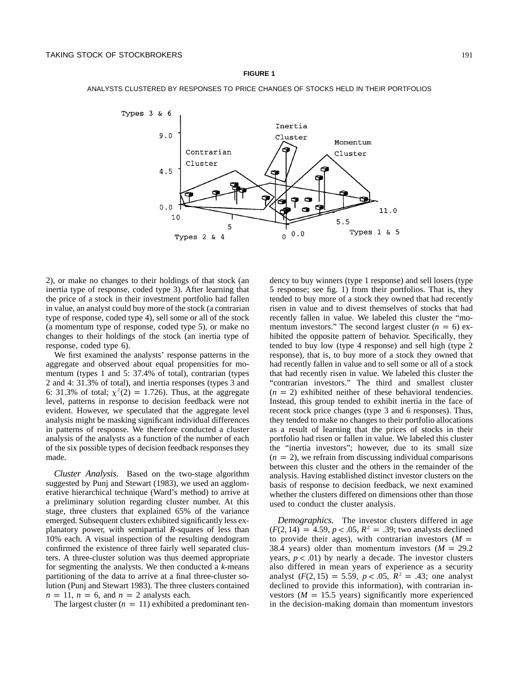#### **FIGURE 1**

ANALYSTS CLUSTERED BY RESPONSES TO PRICE CHANGES OF STOCKS HELD IN THEIR PORTFOLIOS



2), or make no changes to their holdings of that stock (an inertia type of response, coded type 3). After learning that the price of a stock in their investment portfolio had fallen in value, an analyst could buy more of the stock (a contrarian type of response, coded type 4), sell some or all of the stock (a momentum type of response, coded type 5), or make no changes to their holdings of the stock (an inertia type of response, coded type 6).

We first examined the analysts' response patterns in the aggregate and observed about equal propensities for momentum (types 1 and 5: 37.4% of total), contrarian (types 2 and 4: 31.3% of total), and inertia responses (types 3 and 6: 31.3% of total;  $\chi^2(2) = 1.726$ ). Thus, at the aggregate level, patterns in response to decision feedback were not evident. However, we speculated that the aggregate level analysis might be masking significant individual differences in patterns of response. We therefore conducted a cluster analysis of the analysts as a function of the number of each of the six possible types of decision feedback responses they made.

*Cluster Analysis.* Based on the two-stage algorithm suggested by Punj and Stewart (1983), we used an agglomerative hierarchical technique (Ward's method) to arrive at a preliminary solution regarding cluster number. At this stage, three clusters that explained 65% of the variance emerged. Subsequent clusters exhibited significantly less explanatory power, with semipartial *R*-squares of less than 10% each. A visual inspection of the resulting dendogram confirmed the existence of three fairly well separated clusters. A three-cluster solution was thus deemed appropriate for segmenting the analysts. We then conducted a *k*-means partitioning of the data to arrive at a final three-cluster solution (Punj and Stewart 1983). The three clusters contained  $n = 11$ ,  $n = 6$ , and  $n = 2$  analysts each.

The largest cluster  $(n = 11)$  exhibited a predominant ten-

dency to buy winners (type 1 response) and sell losers (type 5 response; see fig. 1) from their portfolios. That is, they tended to buy more of a stock they owned that had recently risen in value and to divest themselves of stocks that had recently fallen in value. We labeled this cluster the "momentum investors." The second largest cluster  $(n = 6)$  exhibited the opposite pattern of behavior. Specifically, they tended to buy low (type 4 response) and sell high (type 2 response), that is, to buy more of a stock they owned that had recently fallen in value and to sell some or all of a stock that had recently risen in value. We labeled this cluster the "contrarian investors." The third and smallest cluster  $(n = 2)$  exhibited neither of these behavioral tendencies. Instead, this group tended to exhibit inertia in the face of recent stock price changes (type 3 and 6 responses). Thus, they tended to make no changes to their portfolio allocations as a result of learning that the prices of stocks in their portfolio had risen or fallen in value. We labeled this cluster the "inertia investors"; however, due to its small size  $(n = 2)$ , we refrain from discussing individual comparisons between this cluster and the others in the remainder of the analysis. Having established distinct investor clusters on the basis of response to decision feedback, we next examined whether the clusters differed on dimensions other than those used to conduct the cluster analysis.

*Demographics.* The investor clusters differed in age  $(F(2, 14) = 4.59, p < .05, R<sup>2</sup> = .39$ ; two analysts declined to provide their ages), with contrarian investors  $(M =$ 38.4 years) older than momentum investors  $(M = 29.2)$ years,  $p < .01$ ) by nearly a decade. The investor clusters also differed in mean years of experience as a security analyst  $(F(2, 15) = 5.59, p < .05, R^2 = .43;$  one analyst declined to provide this information), with contrarian investors ( $M = 15.5$  years) significantly more experienced in the decision-making domain than momentum investors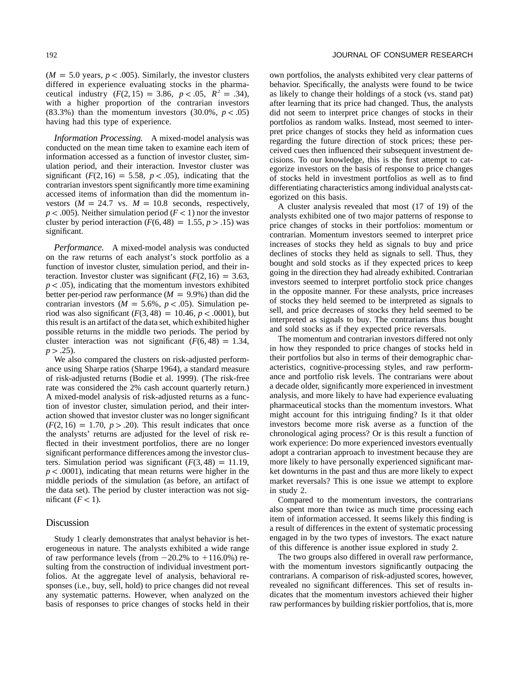$(M = 5.0$  years,  $p < .005$ ). Similarly, the investor clusters differed in experience evaluating stocks in the pharmaceutical industry  $(F(2, 15) = 3.86, p < .05, R^2 = .34)$ , with a higher proportion of the contrarian investors (83.3%) than the momentum investors  $(30.0\%, p < .05)$ having had this type of experience.

*Information Processing.* A mixed-model analysis was conducted on the mean time taken to examine each item of information accessed as a function of investor cluster, simulation period, and their interaction. Investor cluster was significant  $(F(2, 16) = 5.58, p < .05)$ , indicating that the contrarian investors spent significantly more time examining accessed items of information than did the momentum investors ( $M = 24.7$  *vs.*  $M = 10.8$  seconds, respectively,  $p < .005$ ). Neither simulation period ( $F < 1$ ) nor the investor cluster by period interaction  $(F(6, 48) = 1.55, p > .15)$  was significant.

*Performance.* A mixed-model analysis was conducted on the raw returns of each analyst's stock portfolio as a function of investor cluster, simulation period, and their interaction. Investor cluster was significant  $(F(2, 16) = 3.63$ ,  $p < .05$ ), indicating that the momentum investors exhibited better per-period raw performance  $(M = 9.9\%)$  than did the contrarian investors ( $M = 5.6\%$ ,  $p < .05$ ). Simulation period was also significant  $(F(3, 48) = 10.46, p < .0001)$ , but this result is an artifact of the data set, which exhibited higher possible returns in the middle two periods. The period by cluster interaction was not significant  $(F(6, 48) = 1.34,$  $p > .25$ ).

We also compared the clusters on risk-adjusted performance using Sharpe ratios (Sharpe 1964), a standard measure of risk-adjusted returns (Bodie et al. 1999). (The risk-free rate was considered the 2% cash account quarterly return.) A mixed-model analysis of risk-adjusted returns as a function of investor cluster, simulation period, and their interaction showed that investor cluster was no longer significant  $(F(2, 16) = 1.70, p > .20)$ . This result indicates that once the analysts' returns are adjusted for the level of risk reflected in their investment portfolios, there are no longer significant performance differences among the investor clusters. Simulation period was significant  $(F(3, 48) = 11.19$ ,  $p < .0001$ ), indicating that mean returns were higher in the middle periods of the simulation (as before, an artifact of the data set). The period by cluster interaction was not significant  $(F < 1)$ .

# Discussion

Study 1 clearly demonstrates that analyst behavior is heterogeneous in nature. The analysts exhibited a wide range of raw performance levels (from  $-20.2\%$  to  $+116.0\%$ ) resulting from the construction of individual investment portfolios. At the aggregate level of analysis, behavioral responses (i.e., buy, sell, hold) to price changes did not reveal any systematic patterns. However, when analyzed on the basis of responses to price changes of stocks held in their own portfolios, the analysts exhibited very clear patterns of behavior. Specifically, the analysts were found to be twice as likely to change their holdings of a stock (vs. stand pat) after learning that its price had changed. Thus, the analysts did not seem to interpret price changes of stocks in their portfolios as random walks. Instead, most seemed to interpret price changes of stocks they held as information cues regarding the future direction of stock prices; these perceived cues then influenced their subsequent investment decisions. To our knowledge, this is the first attempt to categorize investors on the basis of response to price changes of stocks held in investment portfolios as well as to find differentiating characteristics among individual analysts categorized on this basis.

A cluster analysis revealed that most (17 of 19) of the analysts exhibited one of two major patterns of response to price changes of stocks in their portfolios: momentum or contrarian. Momentum investors seemed to interpret price increases of stocks they held as signals to buy and price declines of stocks they held as signals to sell. Thus, they bought and sold stocks as if they expected prices to keep going in the direction they had already exhibited. Contrarian investors seemed to interpret portfolio stock price changes in the opposite manner. For these analysts, price increases of stocks they held seemed to be interpreted as signals to sell, and price decreases of stocks they held seemed to be interpreted as signals to buy. The contrarians thus bought and sold stocks as if they expected price reversals.

The momentum and contrarian investors differed not only in how they responded to price changes of stocks held in their portfolios but also in terms of their demographic characteristics, cognitive-processing styles, and raw performance and portfolio risk levels. The contrarians were about a decade older, significantly more experienced in investment analysis, and more likely to have had experience evaluating pharmaceutical stocks than the momentum investors. What might account for this intriguing finding? Is it that older investors become more risk averse as a function of the chronological aging process? Or is this result a function of work experience: Do more experienced investors eventually adopt a contrarian approach to investment because they are more likely to have personally experienced significant market downturns in the past and thus are more likely to expect market reversals? This is one issue we attempt to explore in study 2.

Compared to the momentum investors, the contrarians also spent more than twice as much time processing each item of information accessed. It seems likely this finding is a result of differences in the extent of systematic processing engaged in by the two types of investors. The exact nature of this difference is another issue explored in study 2.

The two groups also differed in overall raw performance, with the momentum investors significantly outpacing the contrarians. A comparison of risk-adjusted scores, however, revealed no significant differences. This set of results indicates that the momentum investors achieved their higher raw performances by building riskier portfolios, that is, more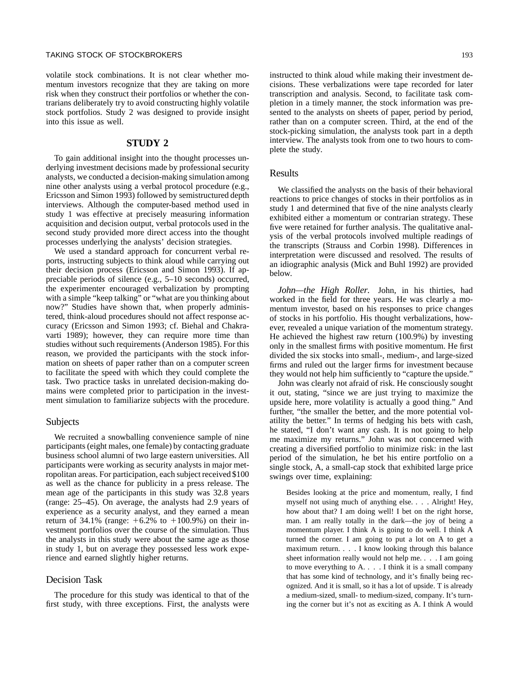#### TAKING STOCK OF STOCKBROKERS 193

volatile stock combinations. It is not clear whether momentum investors recognize that they are taking on more risk when they construct their portfolios or whether the contrarians deliberately try to avoid constructing highly volatile stock portfolios. Study 2 was designed to provide insight into this issue as well.

#### **STUDY 2**

To gain additional insight into the thought processes underlying investment decisions made by professional security analysts, we conducted a decision-making simulation among nine other analysts using a verbal protocol procedure (e.g., Ericsson and Simon 1993) followed by semistructured depth interviews. Although the computer-based method used in study 1 was effective at precisely measuring information acquisition and decision output, verbal protocols used in the second study provided more direct access into the thought processes underlying the analysts' decision strategies.

We used a standard approach for concurrent verbal reports, instructing subjects to think aloud while carrying out their decision process (Ericsson and Simon 1993). If appreciable periods of silence (e.g., 5–10 seconds) occurred, the experimenter encouraged verbalization by prompting with a simple "keep talking" or "what are you thinking about now?" Studies have shown that, when properly administered, think-aloud procedures should not affect response accuracy (Ericsson and Simon 1993; cf. Biehal and Chakravarti 1989); however, they can require more time than studies without such requirements (Anderson 1985). For this reason, we provided the participants with the stock information on sheets of paper rather than on a computer screen to facilitate the speed with which they could complete the task. Two practice tasks in unrelated decision-making domains were completed prior to participation in the investment simulation to familiarize subjects with the procedure.

## Subjects

We recruited a snowballing convenience sample of nine participants (eight males, one female) by contacting graduate business school alumni of two large eastern universities. All participants were working as security analysts in major metropolitan areas. For participation, each subject received \$100 as well as the chance for publicity in a press release. The mean age of the participants in this study was 32.8 years (range: 25–45). On average, the analysts had 2.9 years of experience as a security analyst, and they earned a mean return of 34.1% (range:  $+6.2%$  to  $+100.9%$ ) on their investment portfolios over the course of the simulation. Thus the analysts in this study were about the same age as those in study 1, but on average they possessed less work experience and earned slightly higher returns.

# Decision Task

The procedure for this study was identical to that of the first study, with three exceptions. First, the analysts were instructed to think aloud while making their investment decisions. These verbalizations were tape recorded for later transcription and analysis. Second, to facilitate task completion in a timely manner, the stock information was presented to the analysts on sheets of paper, period by period, rather than on a computer screen. Third, at the end of the stock-picking simulation, the analysts took part in a depth interview. The analysts took from one to two hours to complete the study.

## Results

We classified the analysts on the basis of their behavioral reactions to price changes of stocks in their portfolios as in study 1 and determined that five of the nine analysts clearly exhibited either a momentum or contrarian strategy. These five were retained for further analysis. The qualitative analysis of the verbal protocols involved multiple readings of the transcripts (Strauss and Corbin 1998). Differences in interpretation were discussed and resolved. The results of an idiographic analysis (Mick and Buhl 1992) are provided below.

*John—the High Roller.* John, in his thirties, had worked in the field for three years. He was clearly a momentum investor, based on his responses to price changes of stocks in his portfolio. His thought verbalizations, however, revealed a unique variation of the momentum strategy. He achieved the highest raw return (100.9%) by investing only in the smallest firms with positive momentum. He first divided the six stocks into small-, medium-, and large-sized firms and ruled out the larger firms for investment because they would not help him sufficiently to "capture the upside."

John was clearly not afraid of risk. He consciously sought it out, stating, "since we are just trying to maximize the upside here, more volatility is actually a good thing." And further, "the smaller the better, and the more potential volatility the better." In terms of hedging his bets with cash, he stated, "I don't want any cash. It is not going to help me maximize my returns." John was not concerned with creating a diversified portfolio to minimize risk: in the last period of the simulation, he bet his entire portfolio on a single stock, A, a small-cap stock that exhibited large price swings over time, explaining:

Besides looking at the price and momentum, really, I find myself not using much of anything else. . . . Alright! Hey, how about that? I am doing well! I bet on the right horse, man. I am really totally in the dark—the joy of being a momentum player. I think A is going to do well. I think A turned the corner. I am going to put a lot on A to get a maximum return. . . . I know looking through this balance sheet information really would not help me. . . . I am going to move everything to A. . . . I think it is a small company that has some kind of technology, and it's finally being recognized. And it is small, so it has a lot of upside. T is already a medium-sized, small- to medium-sized, company. It's turning the corner but it's not as exciting as A. I think A would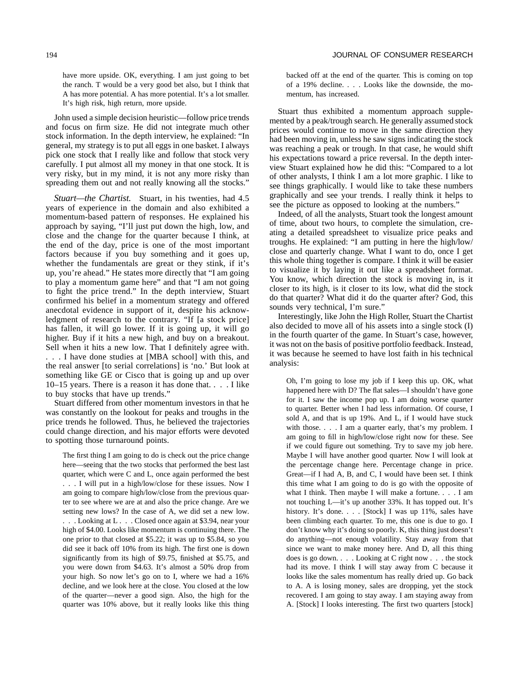have more upside. OK, everything. I am just going to bet the ranch. T would be a very good bet also, but I think that A has more potential. A has more potential. It's a lot smaller. It's high risk, high return, more upside.

John used a simple decision heuristic—follow price trends and focus on firm size. He did not integrate much other stock information. In the depth interview, he explained: "In general, my strategy is to put all eggs in one basket. I always pick one stock that I really like and follow that stock very carefully. I put almost all my money in that one stock. It is very risky, but in my mind, it is not any more risky than spreading them out and not really knowing all the stocks."

*Stuart—the Chartist.* Stuart, in his twenties, had 4.5 years of experience in the domain and also exhibited a momentum-based pattern of responses. He explained his approach by saying, "I'll just put down the high, low, and close and the change for the quarter because I think, at the end of the day, price is one of the most important factors because if you buy something and it goes up, whether the fundamentals are great or they stink, if it's up, you're ahead." He states more directly that "I am going to play a momentum game here" and that "I am not going to fight the price trend." In the depth interview, Stuart confirmed his belief in a momentum strategy and offered anecdotal evidence in support of it, despite his acknowledgment of research to the contrary. "If [a stock price] has fallen, it will go lower. If it is going up, it will go higher. Buy if it hits a new high, and buy on a breakout. Sell when it hits a new low. That I definitely agree with. . . . I have done studies at [MBA school] with this, and the real answer [to serial correlations] is 'no.' But look at something like GE or Cisco that is going up and up over 10–15 years. There is a reason it has done that. . . . I like to buy stocks that have up trends."

Stuart differed from other momentum investors in that he was constantly on the lookout for peaks and troughs in the price trends he followed. Thus, he believed the trajectories could change direction, and his major efforts were devoted to spotting those turnaround points.

The first thing I am going to do is check out the price change here—seeing that the two stocks that performed the best last quarter, which were C and L, once again performed the best . . . I will put in a high/low/close for these issues. Now I am going to compare high/low/close from the previous quarter to see where we are at and also the price change. Are we setting new lows? In the case of A, we did set a new low. . . . Looking at L . . . Closed once again at \$3.94, near your high of \$4.00. Looks like momentum is continuing there. The one prior to that closed at \$5.22; it was up to \$5.84, so you did see it back off 10% from its high. The first one is down significantly from its high of \$9.75, finished at \$5.75, and you were down from \$4.63. It's almost a 50% drop from your high. So now let's go on to I, where we had a 16% decline, and we look here at the close. You closed at the low of the quarter—never a good sign. Also, the high for the quarter was 10% above, but it really looks like this thing backed off at the end of the quarter. This is coming on top of a 19% decline. . . . Looks like the downside, the momentum, has increased.

Stuart thus exhibited a momentum approach supplemented by a peak/trough search. He generally assumed stock prices would continue to move in the same direction they had been moving in, unless he saw signs indicating the stock was reaching a peak or trough. In that case, he would shift his expectations toward a price reversal. In the depth interview Stuart explained how he did this: "Compared to a lot of other analysts, I think I am a lot more graphic. I like to see things graphically. I would like to take these numbers graphically and see your trends. I really think it helps to see the picture as opposed to looking at the numbers."

Indeed, of all the analysts, Stuart took the longest amount of time, about two hours, to complete the simulation, creating a detailed spreadsheet to visualize price peaks and troughs. He explained: "I am putting in here the high/low/ close and quarterly change. What I want to do, once I get this whole thing together is compare. I think it will be easier to visualize it by laying it out like a spreadsheet format. You know, which direction the stock is moving in, is it closer to its high, is it closer to its low, what did the stock do that quarter? What did it do the quarter after? God, this sounds very technical, I'm sure."

Interestingly, like John the High Roller, Stuart the Chartist also decided to move all of his assets into a single stock (I) in the fourth quarter of the game. In Stuart's case, however, it was not on the basis of positive portfolio feedback. Instead, it was because he seemed to have lost faith in his technical analysis:

Oh, I'm going to lose my job if I keep this up. OK, what happened here with D? The flat sales—I shouldn't have gone for it. I saw the income pop up. I am doing worse quarter to quarter. Better when I had less information. Of course, I sold A, and that is up 19%. And L, if I would have stuck with those. . . . I am a quarter early, that's my problem. I am going to fill in high/low/close right now for these. See if we could figure out something. Try to save my job here. Maybe I will have another good quarter. Now I will look at the percentage change here. Percentage change in price. Great—if I had A, B, and C, I would have been set. I think this time what I am going to do is go with the opposite of what I think. Then maybe I will make a fortune. . . . I am not touching L—it's up another 33%. It has topped out. It's history. It's done. . . . [Stock] I was up 11%, sales have been climbing each quarter. To me, this one is due to go. I don't know why it's doing so poorly. K, this thing just doesn't do anything—not enough volatility. Stay away from that since we want to make money here. And D, all this thing does is go down. . . . Looking at C right now . . . the stock had its move. I think I will stay away from C because it looks like the sales momentum has really dried up. Go back to A. A is losing money, sales are dropping, yet the stock recovered. I am going to stay away. I am staying away from A. [Stock] I looks interesting. The first two quarters [stock]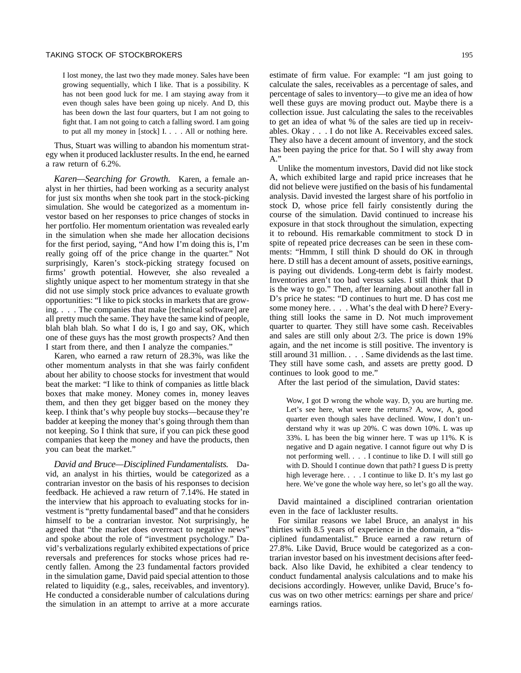#### TAKING STOCK OF STOCKBROKERS **195**

I lost money, the last two they made money. Sales have been growing sequentially, which I like. That is a possibility. K has not been good luck for me. I am staying away from it even though sales have been going up nicely. And D, this has been down the last four quarters, but I am not going to fight that. I am not going to catch a falling sword. I am going to put all my money in [stock] I. . . . All or nothing here.

Thus, Stuart was willing to abandon his momentum strategy when it produced lackluster results. In the end, he earned a raw return of 6.2%.

*Karen—Searching for Growth.* Karen, a female analyst in her thirties, had been working as a security analyst for just six months when she took part in the stock-picking simulation. She would be categorized as a momentum investor based on her responses to price changes of stocks in her portfolio. Her momentum orientation was revealed early in the simulation when she made her allocation decisions for the first period, saying, "And how I'm doing this is, I'm really going off of the price change in the quarter." Not surprisingly, Karen's stock-picking strategy focused on firms' growth potential. However, she also revealed a slightly unique aspect to her momentum strategy in that she did not use simply stock price advances to evaluate growth opportunities: "I like to pick stocks in markets that are growing. . . . The companies that make [technical software] are all pretty much the same. They have the same kind of people, blah blah blah. So what I do is, I go and say, OK, which one of these guys has the most growth prospects? And then I start from there, and then I analyze the companies."

Karen, who earned a raw return of 28.3%, was like the other momentum analysts in that she was fairly confident about her ability to choose stocks for investment that would beat the market: "I like to think of companies as little black boxes that make money. Money comes in, money leaves them, and then they get bigger based on the money they keep. I think that's why people buy stocks—because they're badder at keeping the money that's going through them than not keeping. So I think that sure, if you can pick these good companies that keep the money and have the products, then you can beat the market."

*David and Bruce—Disciplined Fundamentalists.* David, an analyst in his thirties, would be categorized as a contrarian investor on the basis of his responses to decision feedback. He achieved a raw return of 7.14%. He stated in the interview that his approach to evaluating stocks for investment is "pretty fundamental based" and that he considers himself to be a contrarian investor. Not surprisingly, he agreed that "the market does overreact to negative news" and spoke about the role of "investment psychology." David's verbalizations regularly exhibited expectations of price reversals and preferences for stocks whose prices had recently fallen. Among the 23 fundamental factors provided in the simulation game, David paid special attention to those related to liquidity (e.g., sales, receivables, and inventory). He conducted a considerable number of calculations during the simulation in an attempt to arrive at a more accurate estimate of firm value. For example: "I am just going to calculate the sales, receivables as a percentage of sales, and percentage of sales to inventory—to give me an idea of how well these guys are moving product out. Maybe there is a collection issue. Just calculating the sales to the receivables to get an idea of what % of the sales are tied up in receivables. Okay . . . I do not like A. Receivables exceed sales. They also have a decent amount of inventory, and the stock has been paying the price for that. So I will shy away from A."

Unlike the momentum investors, David did not like stock A, which exhibited large and rapid price increases that he did not believe were justified on the basis of his fundamental analysis. David invested the largest share of his portfolio in stock D, whose price fell fairly consistently during the course of the simulation. David continued to increase his exposure in that stock throughout the simulation, expecting it to rebound. His remarkable commitment to stock D in spite of repeated price decreases can be seen in these comments: "Hmmm, I still think D should do OK in through here. D still has a decent amount of assets, positive earnings, is paying out dividends. Long-term debt is fairly modest. Inventories aren't too bad versus sales. I still think that D is the way to go." Then, after learning about another fall in D's price he states: "D continues to hurt me. D has cost me some money here. . . . What's the deal with D here? Everything still looks the same in D. Not much improvement quarter to quarter. They still have some cash. Receivables and sales are still only about 2/3. The price is down 19% again, and the net income is still positive. The inventory is still around 31 million. . . . Same dividends as the last time. They still have some cash, and assets are pretty good. D continues to look good to me."

After the last period of the simulation, David states:

Wow, I got D wrong the whole way. D, you are hurting me. Let's see here, what were the returns? A, wow, A, good quarter even though sales have declined. Wow, I don't understand why it was up 20%. C was down 10%. L was up 33%. L has been the big winner here. T was up 11%. K is negative and D again negative. I cannot figure out why D is not performing well. . . . I continue to like D. I will still go with D. Should I continue down that path? I guess D is pretty high leverage here. . . . I continue to like D. It's my last go here. We've gone the whole way here, so let's go all the way.

David maintained a disciplined contrarian orientation even in the face of lackluster results.

For similar reasons we label Bruce, an analyst in his thirties with 8.5 years of experience in the domain, a "disciplined fundamentalist." Bruce earned a raw return of 27.8%. Like David, Bruce would be categorized as a contrarian investor based on his investment decisions after feedback. Also like David, he exhibited a clear tendency to conduct fundamental analysis calculations and to make his decisions accordingly. However, unlike David, Bruce's focus was on two other metrics: earnings per share and price/ earnings ratios.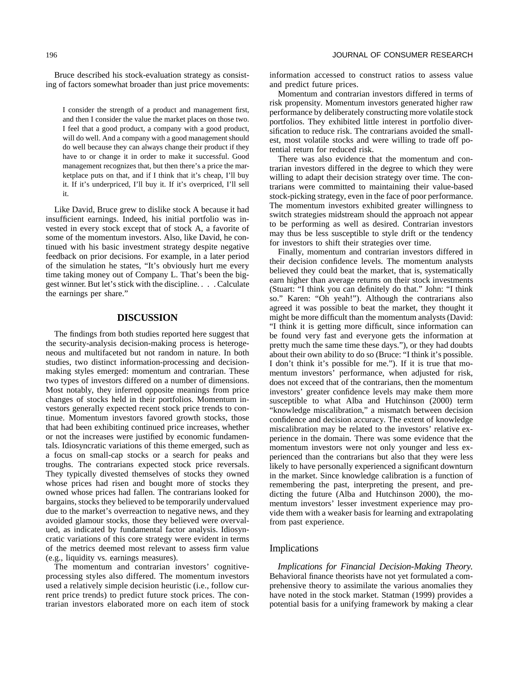Bruce described his stock-evaluation strategy as consisting of factors somewhat broader than just price movements:

I consider the strength of a product and management first, and then I consider the value the market places on those two. I feel that a good product, a company with a good product, will do well. And a company with a good management should do well because they can always change their product if they have to or change it in order to make it successful. Good management recognizes that, but then there's a price the marketplace puts on that, and if I think that it's cheap, I'll buy it. If it's underpriced, I'll buy it. If it's overpriced, I'll sell it.

Like David, Bruce grew to dislike stock A because it had insufficient earnings. Indeed, his initial portfolio was invested in every stock except that of stock A, a favorite of some of the momentum investors. Also, like David, he continued with his basic investment strategy despite negative feedback on prior decisions. For example, in a later period of the simulation he states, "It's obviously hurt me every time taking money out of Company L. That's been the biggest winner. But let's stick with the discipline. . . . Calculate the earnings per share."

# **DISCUSSION**

The findings from both studies reported here suggest that the security-analysis decision-making process is heterogeneous and multifaceted but not random in nature. In both studies, two distinct information-processing and decisionmaking styles emerged: momentum and contrarian. These two types of investors differed on a number of dimensions. Most notably, they inferred opposite meanings from price changes of stocks held in their portfolios. Momentum investors generally expected recent stock price trends to continue. Momentum investors favored growth stocks, those that had been exhibiting continued price increases, whether or not the increases were justified by economic fundamentals. Idiosyncratic variations of this theme emerged, such as a focus on small-cap stocks or a search for peaks and troughs. The contrarians expected stock price reversals. They typically divested themselves of stocks they owned whose prices had risen and bought more of stocks they owned whose prices had fallen. The contrarians looked for bargains, stocks they believed to be temporarily undervalued due to the market's overreaction to negative news, and they avoided glamour stocks, those they believed were overvalued, as indicated by fundamental factor analysis. Idiosyncratic variations of this core strategy were evident in terms of the metrics deemed most relevant to assess firm value (e.g., liquidity vs. earnings measures).

The momentum and contrarian investors' cognitiveprocessing styles also differed. The momentum investors used a relatively simple decision heuristic (i.e., follow current price trends) to predict future stock prices. The contrarian investors elaborated more on each item of stock information accessed to construct ratios to assess value and predict future prices.

Momentum and contrarian investors differed in terms of risk propensity. Momentum investors generated higher raw performance by deliberately constructing more volatile stock portfolios. They exhibited little interest in portfolio diversification to reduce risk. The contrarians avoided the smallest, most volatile stocks and were willing to trade off potential return for reduced risk.

There was also evidence that the momentum and contrarian investors differed in the degree to which they were willing to adapt their decision strategy over time. The contrarians were committed to maintaining their value-based stock-picking strategy, even in the face of poor performance. The momentum investors exhibited greater willingness to switch strategies midstream should the approach not appear to be performing as well as desired. Contrarian investors may thus be less susceptible to style drift or the tendency for investors to shift their strategies over time.

Finally, momentum and contrarian investors differed in their decision confidence levels. The momentum analysts believed they could beat the market, that is, systematically earn higher than average returns on their stock investments (Stuart: "I think you can definitely do that." John: "I think so." Karen: "Oh yeah!"). Although the contrarians also agreed it was possible to beat the market, they thought it might be more difficult than the momentum analysts (David: "I think it is getting more difficult, since information can be found very fast and everyone gets the information at pretty much the same time these days."), or they had doubts about their own ability to do so (Bruce: "I think it's possible. I don't think it's possible for me."). If it is true that momentum investors' performance, when adjusted for risk, does not exceed that of the contrarians, then the momentum investors' greater confidence levels may make them more susceptible to what Alba and Hutchinson (2000) term "knowledge miscalibration," a mismatch between decision confidence and decision accuracy. The extent of knowledge miscalibration may be related to the investors' relative experience in the domain. There was some evidence that the momentum investors were not only younger and less experienced than the contrarians but also that they were less likely to have personally experienced a significant downturn in the market. Since knowledge calibration is a function of remembering the past, interpreting the present, and predicting the future (Alba and Hutchinson 2000), the momentum investors' lesser investment experience may provide them with a weaker basis for learning and extrapolating from past experience.

## Implications

*Implications for Financial Decision-Making Theory.* Behavioral finance theorists have not yet formulated a comprehensive theory to assimilate the various anomalies they have noted in the stock market. Statman (1999) provides a potential basis for a unifying framework by making a clear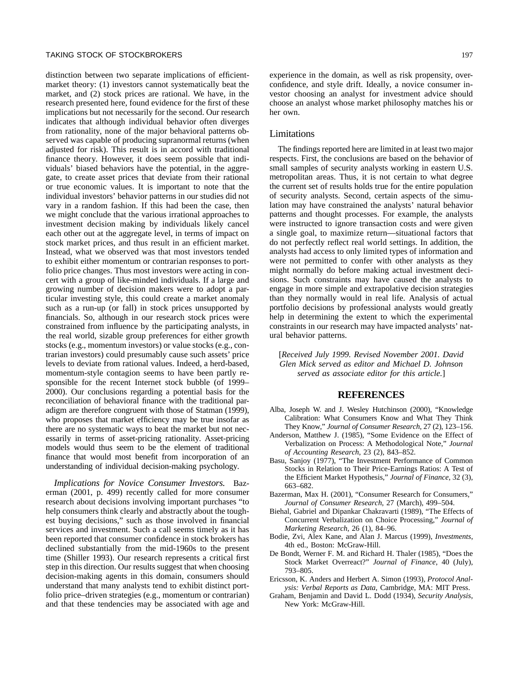#### TAKING STOCK OF STOCKBROKERS **1971**

distinction between two separate implications of efficientmarket theory: (1) investors cannot systematically beat the market, and (2) stock prices are rational. We have, in the research presented here, found evidence for the first of these implications but not necessarily for the second. Our research indicates that although individual behavior often diverges from rationality, none of the major behavioral patterns observed was capable of producing supranormal returns (when adjusted for risk). This result is in accord with traditional finance theory. However, it does seem possible that individuals' biased behaviors have the potential, in the aggregate, to create asset prices that deviate from their rational or true economic values. It is important to note that the individual investors' behavior patterns in our studies did not vary in a random fashion. If this had been the case, then we might conclude that the various irrational approaches to investment decision making by individuals likely cancel each other out at the aggregate level, in terms of impact on stock market prices, and thus result in an efficient market. Instead, what we observed was that most investors tended to exhibit either momentum or contrarian responses to portfolio price changes. Thus most investors were acting in concert with a group of like-minded individuals. If a large and growing number of decision makers were to adopt a particular investing style, this could create a market anomaly such as a run-up (or fall) in stock prices unsupported by financials. So, although in our research stock prices were constrained from influence by the participating analysts, in the real world, sizable group preferences for either growth stocks (e.g., momentum investors) or value stocks (e.g., contrarian investors) could presumably cause such assets' price levels to deviate from rational values. Indeed, a herd-based, momentum-style contagion seems to have been partly responsible for the recent Internet stock bubble (of 1999– 2000). Our conclusions regarding a potential basis for the reconciliation of behavioral finance with the traditional paradigm are therefore congruent with those of Statman (1999), who proposes that market efficiency may be true insofar as there are no systematic ways to beat the market but not necessarily in terms of asset-pricing rationality. Asset-pricing models would thus seem to be the element of traditional finance that would most benefit from incorporation of an understanding of individual decision-making psychology.

*Implications for Novice Consumer Investors.* Bazerman (2001, p. 499) recently called for more consumer research about decisions involving important purchases "to help consumers think clearly and abstractly about the toughest buying decisions," such as those involved in financial services and investment. Such a call seems timely as it has been reported that consumer confidence in stock brokers has declined substantially from the mid-1960s to the present time (Shiller 1993). Our research represents a critical first step in this direction. Our results suggest that when choosing decision-making agents in this domain, consumers should understand that many analysts tend to exhibit distinct portfolio price–driven strategies (e.g., momentum or contrarian) and that these tendencies may be associated with age and experience in the domain, as well as risk propensity, overconfidence, and style drift. Ideally, a novice consumer investor choosing an analyst for investment advice should choose an analyst whose market philosophy matches his or her own.

#### Limitations

The findings reported here are limited in at least two major respects. First, the conclusions are based on the behavior of small samples of security analysts working in eastern U.S. metropolitan areas. Thus, it is not certain to what degree the current set of results holds true for the entire population of security analysts. Second, certain aspects of the simulation may have constrained the analysts' natural behavior patterns and thought processes. For example, the analysts were instructed to ignore transaction costs and were given a single goal, to maximize return—situational factors that do not perfectly reflect real world settings. In addition, the analysts had access to only limited types of information and were not permitted to confer with other analysts as they might normally do before making actual investment decisions. Such constraints may have caused the analysts to engage in more simple and extrapolative decision strategies than they normally would in real life. Analysis of actual portfolio decisions by professional analysts would greatly help in determining the extent to which the experimental constraints in our research may have impacted analysts' natural behavior patterns.

[*Received July 1999. Revised November 2001. David Glen Mick served as editor and Michael D. Johnson served as associate editor for this article.*]

# **REFERENCES**

- Alba, Joseph W. and J. Wesley Hutchinson (2000), "Knowledge Calibration: What Consumers Know and What They Think They Know," *Journal of Consumer Research*, 27 (2), 123–156.
- Anderson, Matthew J. (1985), "Some Evidence on the Effect of Verbalization on Process: A Methodological Note," *Journal of Accounting Research*, 23 (2), 843–852.
- Basu, Sanjoy (1977), "The Investment Performance of Common Stocks in Relation to Their Price-Earnings Ratios: A Test of the Efficient Market Hypothesis," *Journal of Finance*, 32 (3), 663–682.
- Bazerman, Max H. (2001), "Consumer Research for Consumers," *Journal of Consumer Research*, 27 (March), 499–504.
- Biehal, Gabriel and Dipankar Chakravarti (1989), "The Effects of Concurrent Verbalization on Choice Processing," *Journal of Marketing Research*, 26 (1), 84–96.
- Bodie, Zvi, Alex Kane, and Alan J. Marcus (1999), *Investments*, 4th ed., Boston: McGraw-Hill.
- De Bondt, Werner F. M. and Richard H. Thaler (1985), "Does the Stock Market Overreact?" *Journal of Finance*, 40 (July), 793–805.
- Ericsson, K. Anders and Herbert A. Simon (1993), *Protocol Analysis: Verbal Reports as Data*, Cambridge, MA: MIT Press.
- Graham, Benjamin and David L. Dodd (1934), *Security Analysis*, New York: McGraw-Hill.